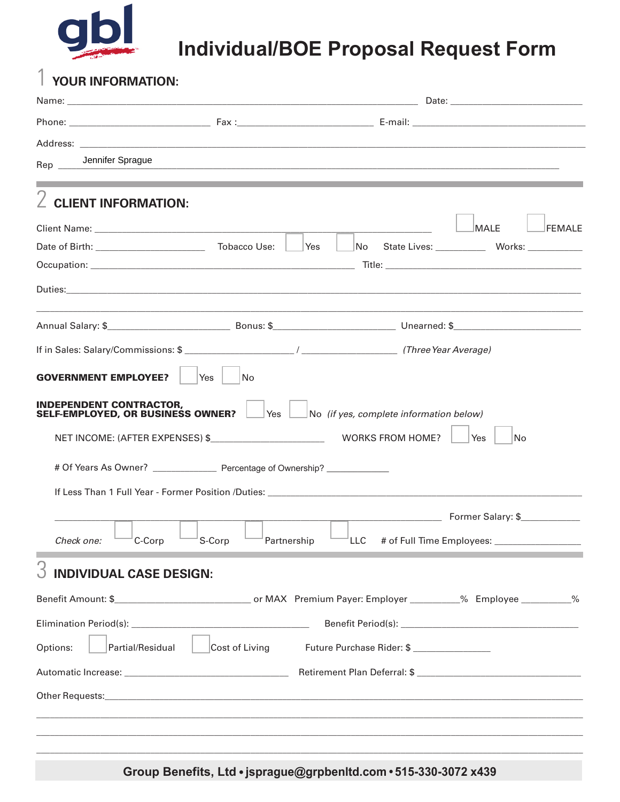

## **Individual/BOE Proposal Request Form**

## $\int$  YOUR INFORMATION:

| Jennifer Sprague<br>Rep                                                                 |                       |                                                             |  | <u> 1990 - Jan James James James James James James James James James James James James James James James James</u> |  |
|-----------------------------------------------------------------------------------------|-----------------------|-------------------------------------------------------------|--|--------------------------------------------------------------------------------------------------------------------|--|
| <b>CLIENT INFORMATION:</b>                                                              |                       |                                                             |  | ,我们也不会有什么。""我们的人,我们也不会有什么?""我们的人,我们也不会有什么?""我们的人,我们也不会有什么?""我们的人,我们也不会有什么?""我们的人                                   |  |
|                                                                                         |                       |                                                             |  | MALE<br><b>FEMALE</b>                                                                                              |  |
|                                                                                         |                       |                                                             |  | No State Lives: ____________ Works: ___________                                                                    |  |
|                                                                                         |                       |                                                             |  |                                                                                                                    |  |
|                                                                                         |                       |                                                             |  |                                                                                                                    |  |
|                                                                                         |                       |                                                             |  |                                                                                                                    |  |
|                                                                                         |                       |                                                             |  |                                                                                                                    |  |
| <b>GOVERNMENT EMPLOYEE?</b>                                                             | Yes<br> No            |                                                             |  |                                                                                                                    |  |
| <b>INDEPENDENT CONTRACTOR,</b><br>SELF-EMPLOYED, OR BUSINESS OWNER?                     |                       | $\forall$ es $\Box$ No (if yes, complete information below) |  |                                                                                                                    |  |
|                                                                                         |                       |                                                             |  | Yes<br> No                                                                                                         |  |
| # Of Years As Owner? ________________________ Percentage of Ownership? ________________ |                       |                                                             |  |                                                                                                                    |  |
|                                                                                         |                       |                                                             |  |                                                                                                                    |  |
|                                                                                         |                       |                                                             |  | <b>Maria Land Community</b> Former Salary: \$                                                                      |  |
| Check one:<br>C-Corp                                                                    | S-Corp<br>Partnership |                                                             |  | LLC      # of Full Time Employees: __________________                                                              |  |
| <b>INDIVIDUAL CASE DESIGN:</b>                                                          |                       |                                                             |  |                                                                                                                    |  |
|                                                                                         |                       |                                                             |  |                                                                                                                    |  |
|                                                                                         |                       |                                                             |  |                                                                                                                    |  |
| Options:<br>Partial/Residual                                                            | Cost of Living        | Future Purchase Rider: \$ ________________                  |  |                                                                                                                    |  |
|                                                                                         |                       |                                                             |  |                                                                                                                    |  |
|                                                                                         |                       |                                                             |  |                                                                                                                    |  |
|                                                                                         |                       |                                                             |  |                                                                                                                    |  |
|                                                                                         |                       |                                                             |  |                                                                                                                    |  |

Group Benefits, Ltd · jsprague@grpbenltd.com · 515-330-3072 x439